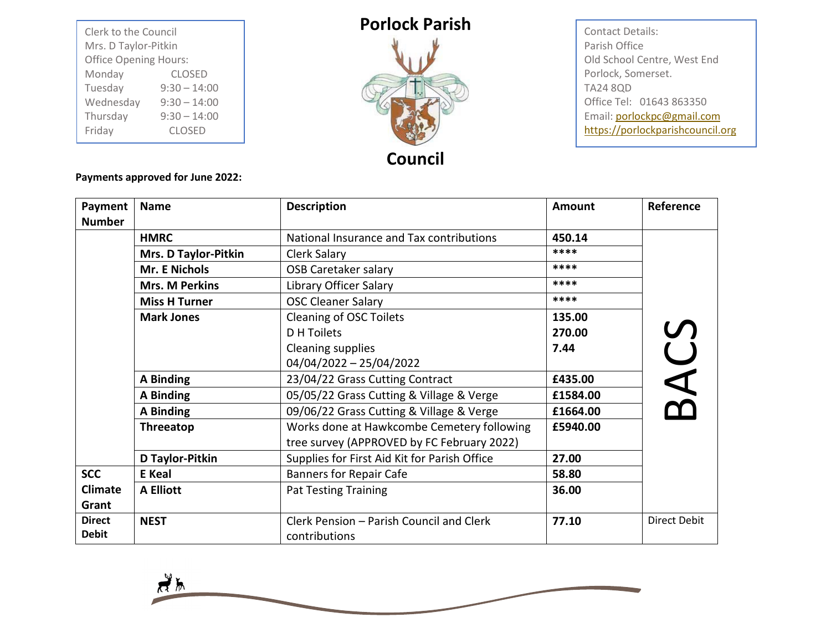| Clerk to the Council<br>Mrs. D Taylor-Pitkin |                |  |
|----------------------------------------------|----------------|--|
| <b>Office Opening Hours:</b>                 |                |  |
| Monday                                       | <b>CLOSED</b>  |  |
| Tuesday                                      | $9:30 - 14:00$ |  |
| Wednesday                                    | $9:30 - 14:00$ |  |
| Thursday                                     | $9:30 - 14:00$ |  |
| Friday                                       | <b>CLOSED</b>  |  |

## **Porlock Parish**



Contact Details: Parish Office Old School Centre, West End Porlock, Somerset. TA24 8QD Office Tel: 01643 863350 Email[: porlockpc@gmail.com](mailto:porlockpc@gmail.com) [https://porlockparishcouncil.org](https://porlockparishcouncil.org/)

**Payments approved for June 2022:**

| Payment<br><b>Number</b>      | <b>Name</b>           | <b>Description</b>                                                                       | Amount   | Reference    |
|-------------------------------|-----------------------|------------------------------------------------------------------------------------------|----------|--------------|
|                               | <b>HMRC</b>           | National Insurance and Tax contributions                                                 | 450.14   |              |
|                               | Mrs. D Taylor-Pitkin  | Clerk Salary                                                                             | ****     |              |
|                               | Mr. E Nichols         | <b>OSB Caretaker salary</b>                                                              | ****     |              |
|                               | <b>Mrs. M Perkins</b> | Library Officer Salary                                                                   | ****     |              |
|                               | <b>Miss H Turner</b>  | <b>OSC Cleaner Salary</b>                                                                | ****     |              |
|                               | <b>Mark Jones</b>     | Cleaning of OSC Toilets                                                                  | 135.00   |              |
|                               |                       | <b>D</b> H Toilets                                                                       | 270.00   |              |
|                               |                       | <b>Cleaning supplies</b>                                                                 | 7.44     |              |
|                               |                       | $04/04/2022 - 25/04/2022$                                                                |          |              |
|                               | A Binding             | 23/04/22 Grass Cutting Contract                                                          | £435.00  |              |
|                               | A Binding             | 05/05/22 Grass Cutting & Village & Verge                                                 | £1584.00 | 3ACS         |
|                               | A Binding             | 09/06/22 Grass Cutting & Village & Verge                                                 | £1664.00 |              |
|                               | Threeatop             | Works done at Hawkcombe Cemetery following<br>tree survey (APPROVED by FC February 2022) | £5940.00 |              |
|                               | D Taylor-Pitkin       | Supplies for First Aid Kit for Parish Office                                             | 27.00    |              |
| <b>SCC</b>                    | <b>E</b> Keal         | <b>Banners for Repair Cafe</b>                                                           | 58.80    |              |
| <b>Climate</b><br>Grant       | <b>A Elliott</b>      | <b>Pat Testing Training</b>                                                              | 36.00    |              |
| <b>Direct</b><br><b>Debit</b> | <b>NEST</b>           | Clerk Pension - Parish Council and Clerk<br>contributions                                | 77.10    | Direct Debit |